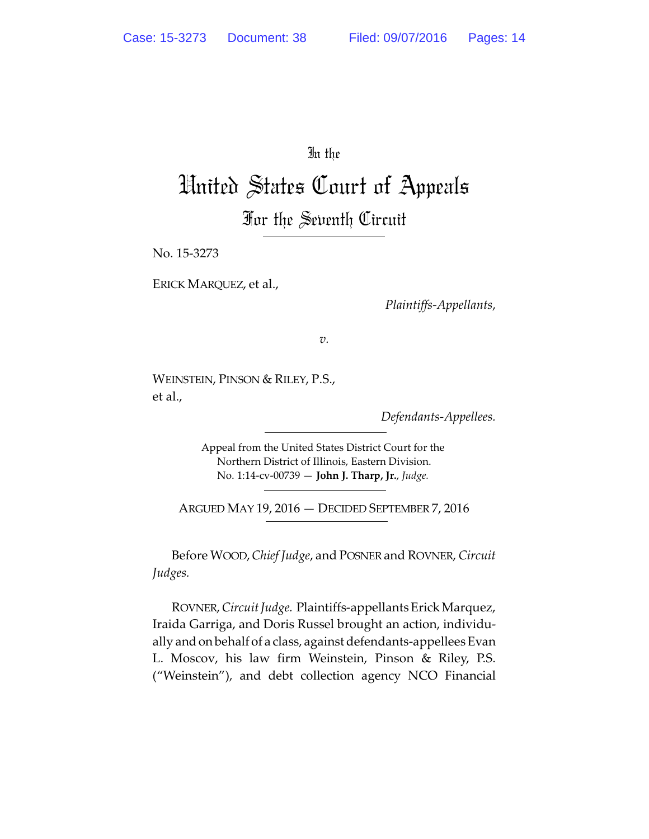In the

## United States Court of Appeals For the Seventh Circuit

No. 15-3273

ERICK MARQUEZ, et al.,

*Plaintiffs-Appellants*,

*v.*

WEINSTEIN, PINSON & RILEY, P.S., et al.,

*Defendants-Appellees.*

Appeal from the United States District Court for the Northern District of Illinois, Eastern Division. No. 1:14-cv-00739 — **John J. Tharp, Jr.**, *Judge.*

ARGUED MAY 19, 2016 — DECIDED SEPTEMBER 7, 2016

Before WOOD,*Chief Judge*, and POSNER and ROVNER, *Circuit Judges.*

ROVNER, *Circuit Judge.* Plaintiffs-appellants Erick Marquez, Iraida Garriga, and Doris Russel brought an action, individually andon behalf of a class, against defendants-appellees Evan L. Moscov, his law firm Weinstein, Pinson & Riley, P.S. ("Weinstein"), and debt collection agency NCO Financial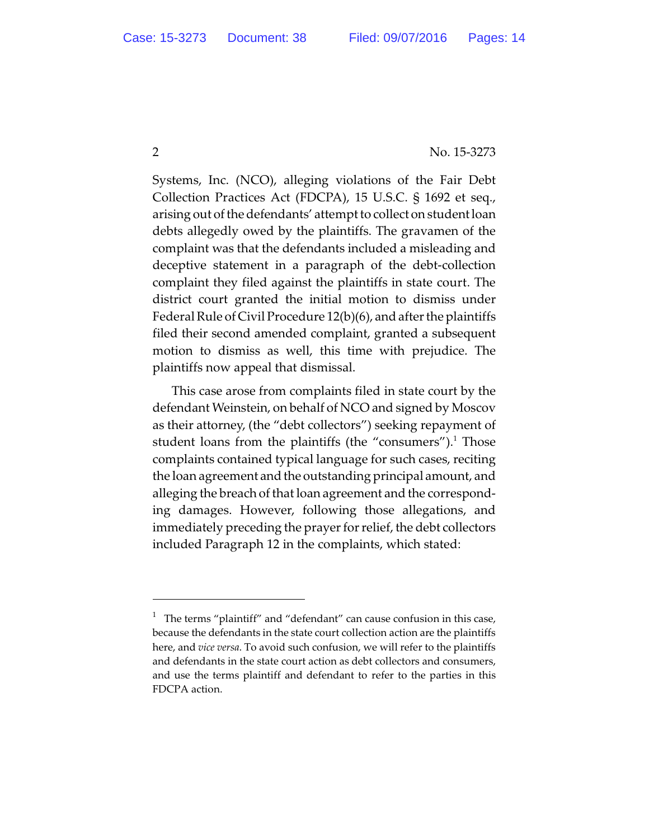Systems, Inc. (NCO), alleging violations of the Fair Debt Collection Practices Act (FDCPA), 15 U.S.C. § 1692 et seq., arising out of the defendants' attempt to collect on student loan debts allegedly owed by the plaintiffs. The gravamen of the complaint was that the defendants included a misleading and deceptive statement in a paragraph of the debt-collection complaint they filed against the plaintiffs in state court. The district court granted the initial motion to dismiss under Federal Rule of Civil Procedure 12(b)(6), and after the plaintiffs filed their second amended complaint, granted a subsequent motion to dismiss as well, this time with prejudice. The plaintiffs now appeal that dismissal.

This case arose from complaints filed in state court by the defendant Weinstein, on behalf of NCO and signed by Moscov as their attorney, (the "debt collectors") seeking repayment of student loans from the plaintiffs (the "consumers").<sup>1</sup> Those complaints contained typical language for such cases, reciting the loan agreement and the outstanding principal amount, and alleging the breach of that loan agreement and the corresponding damages. However, following those allegations, and immediately preceding the prayer for relief, the debt collectors included Paragraph 12 in the complaints, which stated:

<sup>&</sup>lt;sup>1</sup> The terms "plaintiff" and "defendant" can cause confusion in this case, because the defendants in the state court collection action are the plaintiffs here, and *vice versa*. To avoid such confusion, we will refer to the plaintiffs and defendants in the state court action as debt collectors and consumers, and use the terms plaintiff and defendant to refer to the parties in this FDCPA action.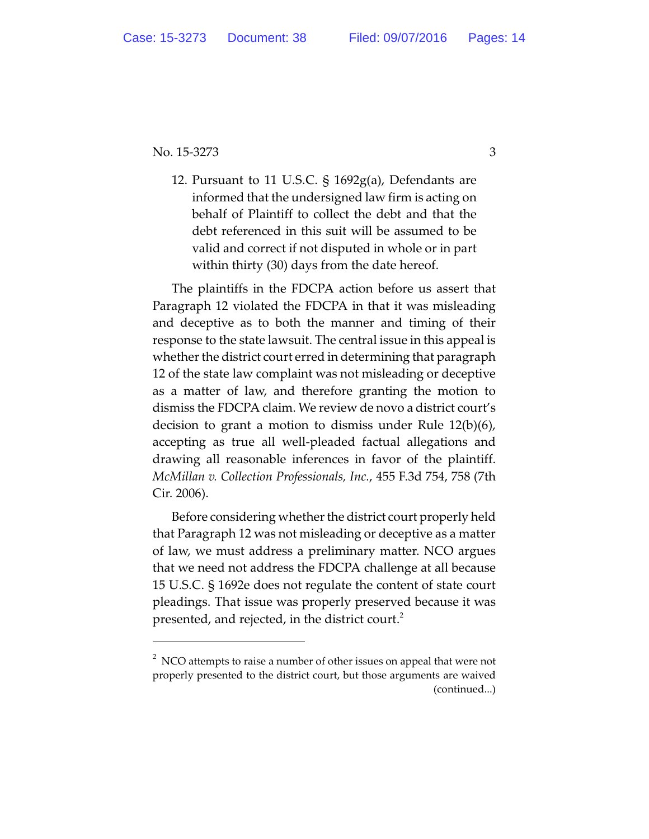12. Pursuant to 11 U.S.C. § 1692g(a), Defendants are informed that the undersigned law firm is acting on behalf of Plaintiff to collect the debt and that the debt referenced in this suit will be assumed to be valid and correct if not disputed in whole or in part within thirty (30) days from the date hereof.

The plaintiffs in the FDCPA action before us assert that Paragraph 12 violated the FDCPA in that it was misleading and deceptive as to both the manner and timing of their response to the state lawsuit. The central issue in this appeal is whether the district court erred in determining that paragraph 12 of the state law complaint was not misleading or deceptive as a matter of law, and therefore granting the motion to dismiss the FDCPA claim. We review de novo a district court's decision to grant a motion to dismiss under Rule 12(b)(6), accepting as true all well-pleaded factual allegations and drawing all reasonable inferences in favor of the plaintiff. *McMillan v. Collection Professionals, Inc.*, 455 F.3d 754, 758 (7th Cir. 2006).

Before considering whether the district court properly held that Paragraph 12 was not misleading or deceptive as a matter of law, we must address a preliminary matter. NCO argues that we need not address the FDCPA challenge at all because 15 U.S.C. § 1692e does not regulate the content of state court pleadings. That issue was properly preserved because it was presented, and rejected, in the district court.<sup>2</sup>

 $2^2$  NCO attempts to raise a number of other issues on appeal that were not properly presented to the district court, but those arguments are waived (continued...)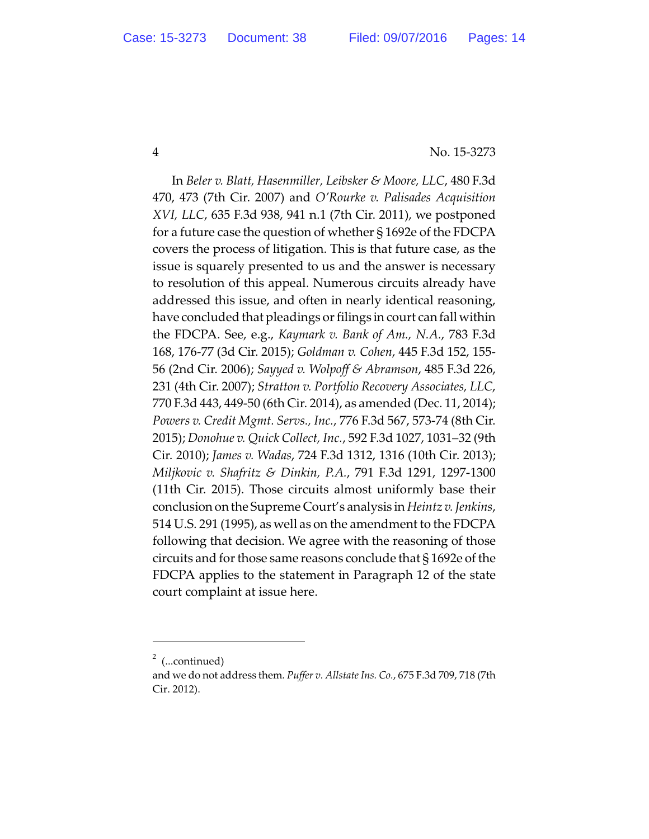In *Beler v. Blatt, Hasenmiller, Leibsker & Moore, LLC*, 480 F.3d 470, 473 (7th Cir. 2007) and *O'Rourke v. Palisades Acquisition XVI, LLC*, 635 F.3d 938, 941 n.1 (7th Cir. 2011), we postponed for a future case the question of whether § 1692e of the FDCPA covers the process of litigation. This is that future case, as the issue is squarely presented to us and the answer is necessary to resolution of this appeal. Numerous circuits already have addressed this issue, and often in nearly identical reasoning, have concluded that pleadings or filings in court can fall within the FDCPA. See, e.g., *Kaymark v. Bank of Am., N.A.*, 783 F.3d 168, 176-77 (3d Cir. 2015); *Goldman v. Cohen*, 445 F.3d 152, 155- 56 (2nd Cir. 2006); *Sayyed v. Wolpoff & Abramson*, 485 F.3d 226, 231 (4th Cir. 2007); *Stratton v. Portfolio Recovery Associates, LLC*, 770 F.3d 443, 449-50 (6th Cir. 2014), as amended (Dec. 11, 2014); *Powers v. Credit Mgmt. Servs., Inc.*, 776 F.3d 567, 573-74 (8th Cir. 2015); *Donohue v. Quick Collect, Inc.*, 592 F.3d 1027, 1031–32 (9th Cir. 2010); *James v. Wadas*, 724 F.3d 1312, 1316 (10th Cir. 2013); *Miljkovic v. Shafritz & Dinkin, P.A.*, 791 F.3d 1291, 1297-1300 (11th Cir. 2015). Those circuits almost uniformly base their conclusion on the Supreme Court's analysis in *Heintz v. Jenkins*, 514 U.S. 291 (1995), as well as on the amendment to the FDCPA following that decision. We agree with the reasoning of those circuits and for those same reasons conclude that § 1692e of the FDCPA applies to the statement in Paragraph 12 of the state court complaint at issue here.

 $2$  (...continued)

and we do not address them*. Puffer v. Allstate Ins. Co.*, 675 F.3d 709, 718 (7th Cir. 2012).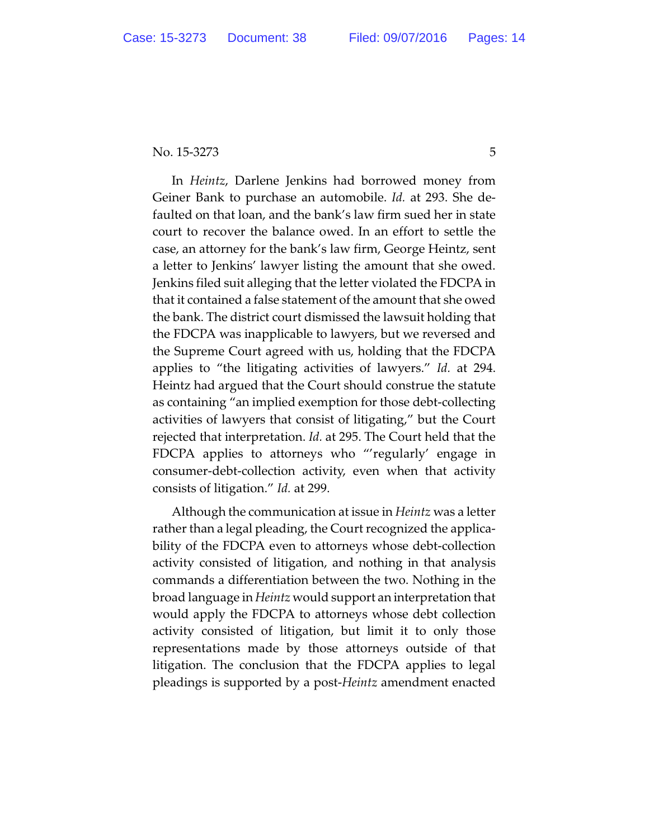In *Heintz*, Darlene Jenkins had borrowed money from Geiner Bank to purchase an automobile. *Id.* at 293. She defaulted on that loan, and the bank's law firm sued her in state court to recover the balance owed. In an effort to settle the case, an attorney for the bank's law firm, George Heintz, sent a letter to Jenkins' lawyer listing the amount that she owed. Jenkins filed suit alleging that the letter violated the FDCPA in that it contained a false statement of the amount that she owed the bank. The district court dismissed the lawsuit holding that the FDCPA was inapplicable to lawyers, but we reversed and the Supreme Court agreed with us, holding that the FDCPA applies to "the litigating activities of lawyers." *Id.* at 294. Heintz had argued that the Court should construe the statute as containing "an implied exemption for those debt-collecting activities of lawyers that consist of litigating," but the Court rejected that interpretation. *Id.* at 295. The Court held that the FDCPA applies to attorneys who "'regularly' engage in consumer-debt-collection activity, even when that activity consists of litigation." *Id.* at 299.

Although the communication at issue in *Heintz* was a letter rather than a legal pleading, the Court recognized the applicability of the FDCPA even to attorneys whose debt-collection activity consisted of litigation, and nothing in that analysis commands a differentiation between the two. Nothing in the broad language in *Heintz* would support an interpretation that would apply the FDCPA to attorneys whose debt collection activity consisted of litigation, but limit it to only those representations made by those attorneys outside of that litigation. The conclusion that the FDCPA applies to legal pleadings is supported by a post-*Heintz* amendment enacted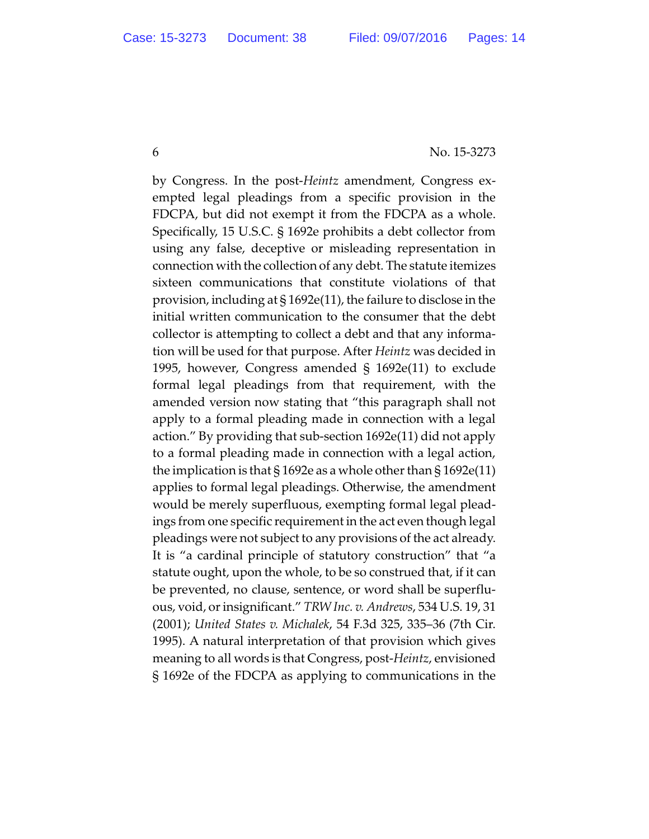by Congress. In the post-*Heintz* amendment, Congress exempted legal pleadings from a specific provision in the FDCPA, but did not exempt it from the FDCPA as a whole. Specifically, 15 U.S.C. § 1692e prohibits a debt collector from using any false, deceptive or misleading representation in connection with the collection of any debt. The statute itemizes sixteen communications that constitute violations of that provision, including at § 1692e(11), the failure to disclose in the initial written communication to the consumer that the debt collector is attempting to collect a debt and that any information will be used for that purpose. After *Heintz* was decided in 1995, however, Congress amended § 1692e(11) to exclude formal legal pleadings from that requirement, with the amended version now stating that "this paragraph shall not apply to a formal pleading made in connection with a legal action." By providing that sub-section 1692e(11) did not apply to a formal pleading made in connection with a legal action, the implication is that  $\S 1692e$  as a whole other than  $\S 1692e(11)$ applies to formal legal pleadings. Otherwise, the amendment would be merely superfluous, exempting formal legal pleadings from one specific requirement in the act even though legal pleadings were not subject to any provisions of the act already. It is "a cardinal principle of statutory construction" that "a statute ought, upon the whole, to be so construed that, if it can be prevented, no clause, sentence, or word shall be superfluous, void, orinsignificant." *TRW Inc. v. Andrews*, 534 U.S. 19, 31 (2001); *United States v. Michalek*, 54 F.3d 325, 335–36 (7th Cir. 1995). A natural interpretation of that provision which gives meaning to all words is that Congress, post-*Heintz*, envisioned § 1692e of the FDCPA as applying to communications in the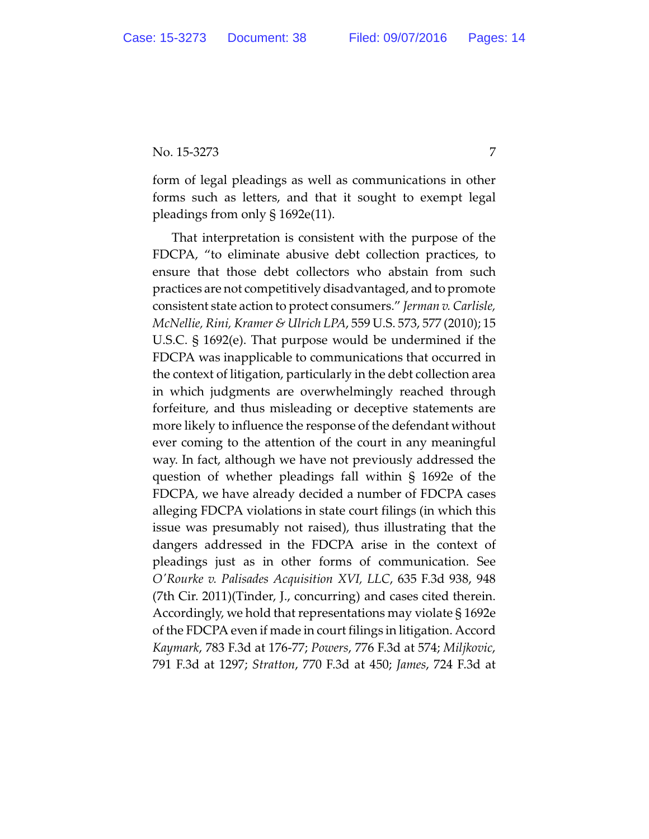form of legal pleadings as well as communications in other forms such as letters, and that it sought to exempt legal pleadings from only § 1692e(11).

That interpretation is consistent with the purpose of the FDCPA, "to eliminate abusive debt collection practices, to ensure that those debt collectors who abstain from such practices are not competitively disadvantaged, and to promote consistent state action to protect consumers." *Jerman v. Carlisle, McNellie, Rini, Kramer & Ulrich LPA*, 559 U.S. 573, 577 (2010); 15 U.S.C. § 1692(e). That purpose would be undermined if the FDCPA was inapplicable to communications that occurred in the context of litigation, particularly in the debt collection area in which judgments are overwhelmingly reached through forfeiture, and thus misleading or deceptive statements are more likely to influence the response of the defendant without ever coming to the attention of the court in any meaningful way. In fact, although we have not previously addressed the question of whether pleadings fall within § 1692e of the FDCPA, we have already decided a number of FDCPA cases alleging FDCPA violations in state court filings (in which this issue was presumably not raised), thus illustrating that the dangers addressed in the FDCPA arise in the context of pleadings just as in other forms of communication. See *O'Rourke v. Palisades Acquisition XVI, LLC*, 635 F.3d 938, 948 (7th Cir. 2011)(Tinder, J., concurring) and cases cited therein. Accordingly, we hold that representations may violate § 1692e of the FDCPA even if made in court filings in litigation. Accord *Kaymark*, 783 F.3d at 176-77; *Powers*, 776 F.3d at 574; *Miljkovic*, 791 F.3d at 1297; *Stratton*, 770 F.3d at 450; *James*, 724 F.3d at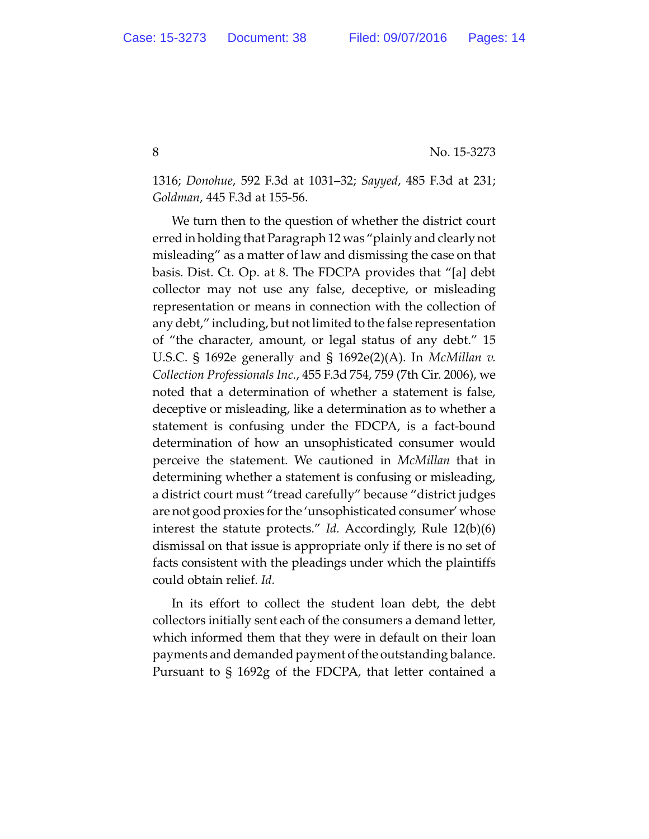1316; *Donohue*, 592 F.3d at 1031–32; *Sayyed*, 485 F.3d at 231; *Goldman*, 445 F.3d at 155-56.

We turn then to the question of whether the district court erred in holding that Paragraph 12 was "plainly and clearly not misleading" as a matter of law and dismissing the case on that basis. Dist. Ct. Op. at 8. The FDCPA provides that "[a] debt collector may not use any false, deceptive, or misleading representation or means in connection with the collection of any debt," including, but not limited to the false representation of "the character, amount, or legal status of any debt." 15 U.S.C. § 1692e generally and § 1692e(2)(A). In *McMillan v. Collection Professionals Inc.*, 455 F.3d 754, 759 (7th Cir. 2006), we noted that a determination of whether a statement is false, deceptive or misleading, like a determination as to whether a statement is confusing under the FDCPA, is a fact-bound determination of how an unsophisticated consumer would perceive the statement. We cautioned in *McMillan* that in determining whether a statement is confusing or misleading, a district court must "tread carefully" because "district judges are not good proxies for the 'unsophisticated consumer' whose interest the statute protects." *Id.* Accordingly, Rule 12(b)(6) dismissal on that issue is appropriate only if there is no set of facts consistent with the pleadings under which the plaintiffs could obtain relief. *Id.*

In its effort to collect the student loan debt, the debt collectors initially sent each of the consumers a demand letter, which informed them that they were in default on their loan payments and demanded payment of the outstanding balance. Pursuant to § 1692g of the FDCPA, that letter contained a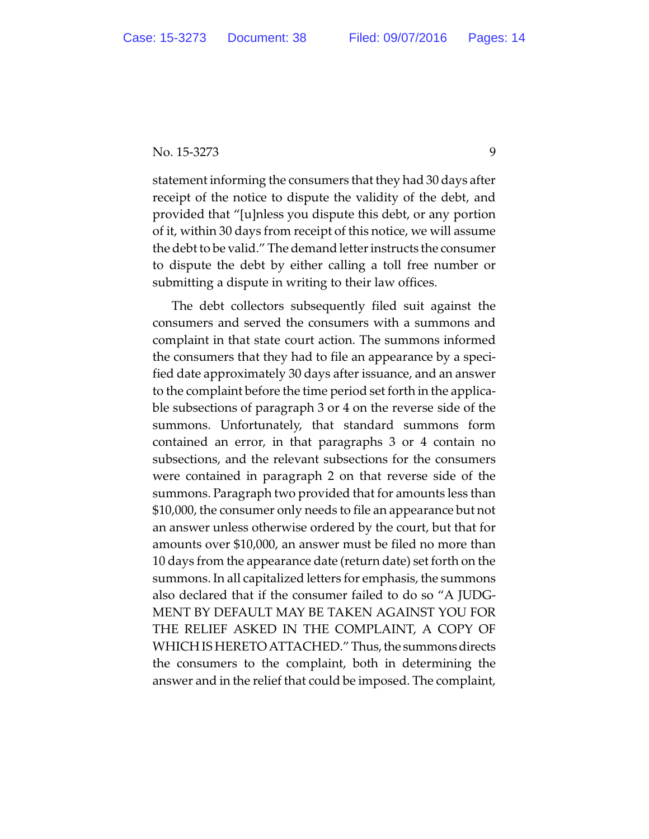statement informing the consumers that they had 30 days after receipt of the notice to dispute the validity of the debt, and provided that "[u]nless you dispute this debt, or any portion of it, within 30 days from receipt of this notice, we will assume the debt to be valid." The demand letter instructs the consumer to dispute the debt by either calling a toll free number or submitting a dispute in writing to their law offices.

The debt collectors subsequently filed suit against the consumers and served the consumers with a summons and complaint in that state court action. The summons informed the consumers that they had to file an appearance by a specified date approximately 30 days after issuance, and an answer to the complaint before the time period set forth in the applicable subsections of paragraph 3 or 4 on the reverse side of the summons. Unfortunately, that standard summons form contained an error, in that paragraphs 3 or 4 contain no subsections, and the relevant subsections for the consumers were contained in paragraph 2 on that reverse side of the summons. Paragraph two provided that for amounts less than \$10,000, the consumer only needs to file an appearance but not an answer unless otherwise ordered by the court, but that for amounts over \$10,000, an answer must be filed no more than 10 days from the appearance date (return date) set forth on the summons. In all capitalized letters for emphasis, the summons also declared that if the consumer failed to do so "A JUDG-MENT BY DEFAULT MAY BE TAKEN AGAINST YOU FOR THE RELIEF ASKED IN THE COMPLAINT, A COPY OF WHICH IS HERETO ATTACHED." Thus, the summons directs the consumers to the complaint, both in determining the answer and in the relief that could be imposed. The complaint,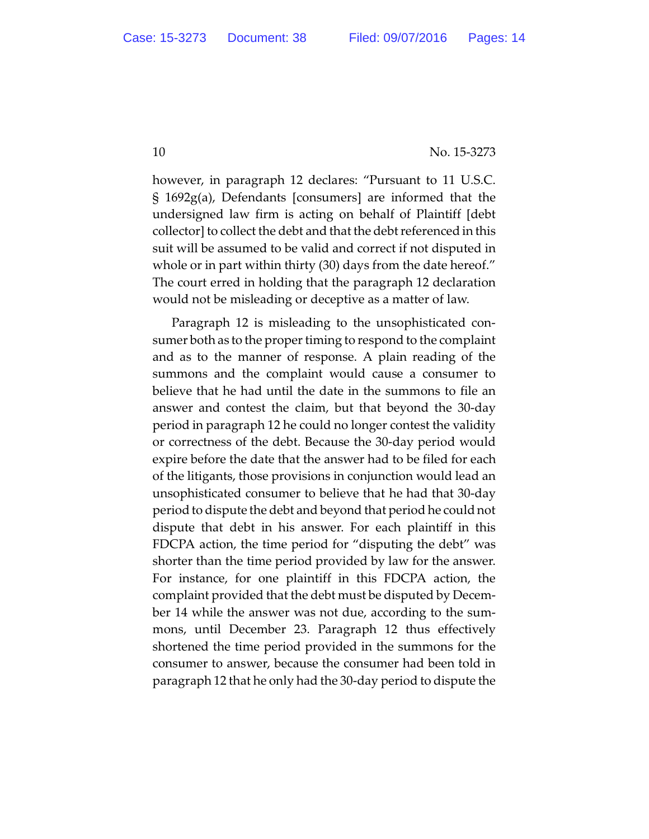however, in paragraph 12 declares: "Pursuant to 11 U.S.C. § 1692g(a), Defendants [consumers] are informed that the undersigned law firm is acting on behalf of Plaintiff [debt collector] to collect the debt and that the debt referenced in this suit will be assumed to be valid and correct if not disputed in whole or in part within thirty (30) days from the date hereof." The court erred in holding that the paragraph 12 declaration would not be misleading or deceptive as a matter of law.

Paragraph 12 is misleading to the unsophisticated consumer both as to the proper timing to respond to the complaint and as to the manner of response. A plain reading of the summons and the complaint would cause a consumer to believe that he had until the date in the summons to file an answer and contest the claim, but that beyond the 30-day period in paragraph 12 he could no longer contest the validity or correctness of the debt. Because the 30-day period would expire before the date that the answer had to be filed for each of the litigants, those provisions in conjunction would lead an unsophisticated consumer to believe that he had that 30-day period to dispute the debt and beyond that period he could not dispute that debt in his answer. For each plaintiff in this FDCPA action, the time period for "disputing the debt" was shorter than the time period provided by law for the answer. For instance, for one plaintiff in this FDCPA action, the complaint provided that the debt must be disputed by December 14 while the answer was not due, according to the summons, until December 23. Paragraph 12 thus effectively shortened the time period provided in the summons for the consumer to answer, because the consumer had been told in paragraph 12 that he only had the 30-day period to dispute the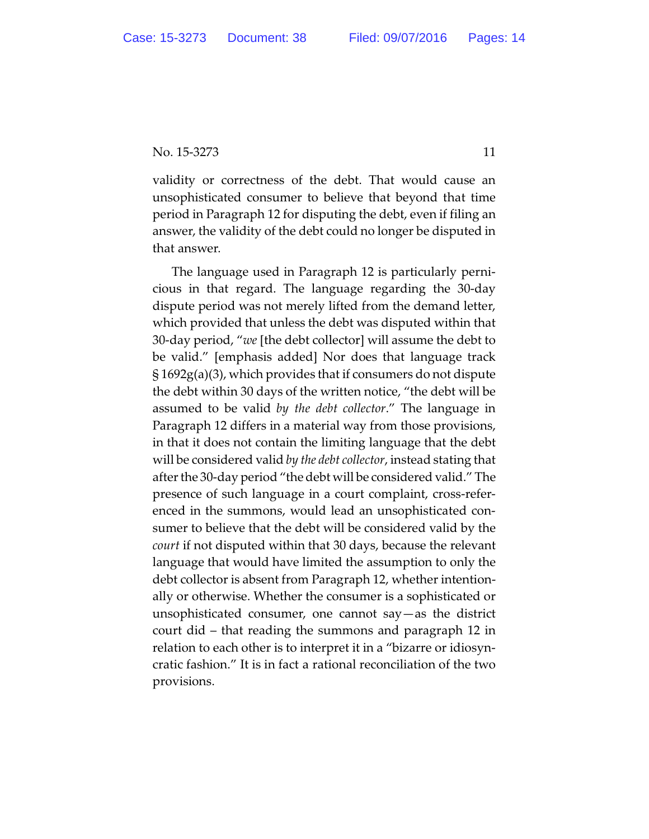validity or correctness of the debt. That would cause an unsophisticated consumer to believe that beyond that time period in Paragraph 12 for disputing the debt, even if filing an answer, the validity of the debt could no longer be disputed in that answer.

The language used in Paragraph 12 is particularly pernicious in that regard. The language regarding the 30-day dispute period was not merely lifted from the demand letter, which provided that unless the debt was disputed within that 30-day period, "*we* [the debt collector] will assume the debt to be valid." [emphasis added] Nor does that language track § 1692g(a)(3), which provides that if consumers do not dispute the debt within 30 days of the written notice, "the debt will be assumed to be valid *by the debt collector*." The language in Paragraph 12 differs in a material way from those provisions, in that it does not contain the limiting language that the debt will be considered valid *by the debt collector*, instead stating that after the 30-day period "the debt will be considered valid." The presence of such language in a court complaint, cross-referenced in the summons, would lead an unsophisticated consumer to believe that the debt will be considered valid by the *court* if not disputed within that 30 days, because the relevant language that would have limited the assumption to only the debt collector is absent from Paragraph 12, whether intentionally or otherwise. Whether the consumer is a sophisticated or unsophisticated consumer, one cannot say—as the district court did – that reading the summons and paragraph 12 in relation to each other is to interpret it in a "bizarre or idiosyncratic fashion." It is in fact a rational reconciliation of the two provisions.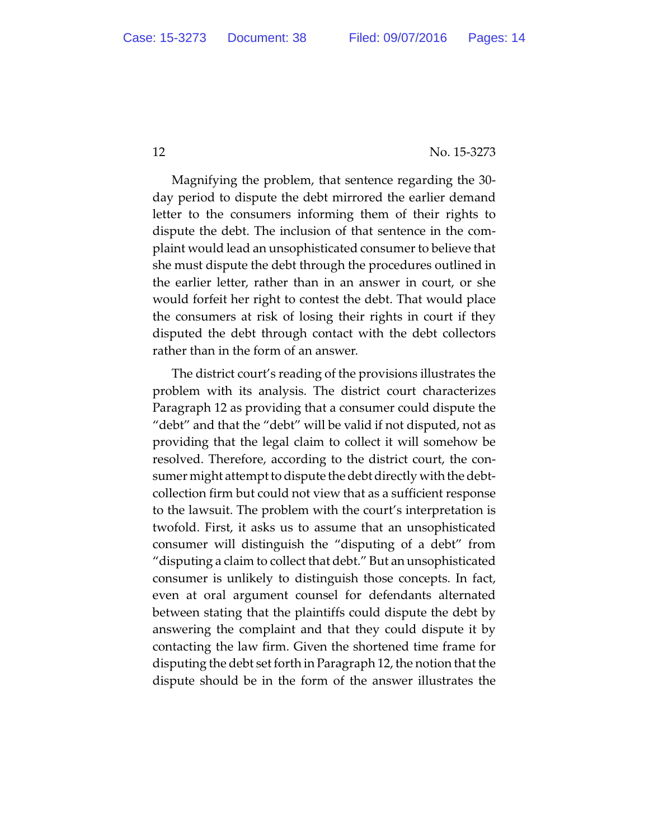Magnifying the problem, that sentence regarding the 30 day period to dispute the debt mirrored the earlier demand letter to the consumers informing them of their rights to dispute the debt. The inclusion of that sentence in the complaint would lead an unsophisticated consumer to believe that she must dispute the debt through the procedures outlined in the earlier letter, rather than in an answer in court, or she would forfeit her right to contest the debt. That would place the consumers at risk of losing their rights in court if they disputed the debt through contact with the debt collectors rather than in the form of an answer.

The district court's reading of the provisions illustrates the problem with its analysis. The district court characterizes Paragraph 12 as providing that a consumer could dispute the "debt" and that the "debt" will be valid if not disputed, not as providing that the legal claim to collect it will somehow be resolved. Therefore, according to the district court, the consumer might attempt to dispute the debt directly with the debtcollection firm but could not view that as a sufficient response to the lawsuit. The problem with the court's interpretation is twofold. First, it asks us to assume that an unsophisticated consumer will distinguish the "disputing of a debt" from "disputing a claim to collect that debt." But an unsophisticated consumer is unlikely to distinguish those concepts. In fact, even at oral argument counsel for defendants alternated between stating that the plaintiffs could dispute the debt by answering the complaint and that they could dispute it by contacting the law firm. Given the shortened time frame for disputing the debt set forth in Paragraph 12, the notion that the dispute should be in the form of the answer illustrates the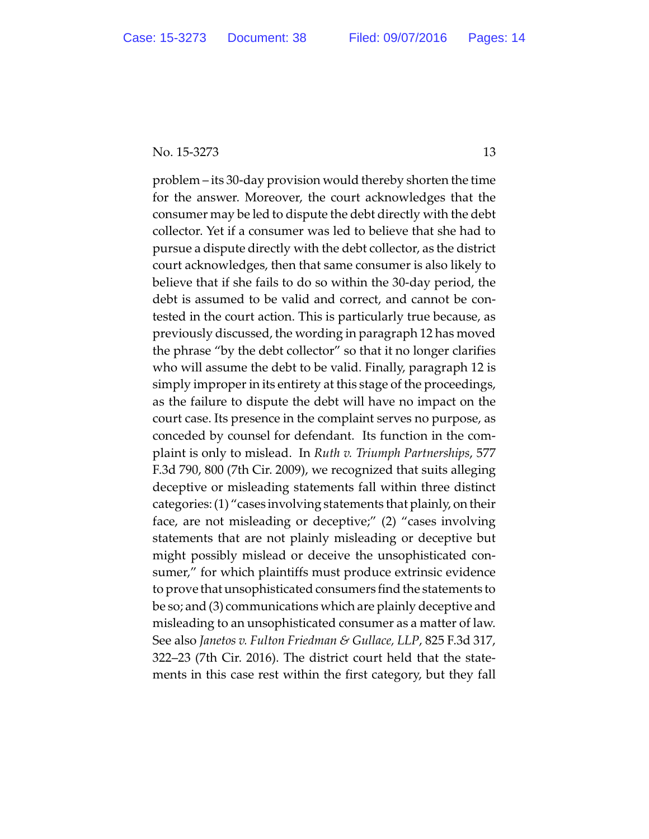problem – its 30-day provision would thereby shorten the time for the answer. Moreover, the court acknowledges that the consumer may be led to dispute the debt directly with the debt collector. Yet if a consumer was led to believe that she had to pursue a dispute directly with the debt collector, as the district court acknowledges, then that same consumer is also likely to believe that if she fails to do so within the 30-day period, the debt is assumed to be valid and correct, and cannot be contested in the court action. This is particularly true because, as previously discussed, the wording in paragraph 12 has moved the phrase "by the debt collector" so that it no longer clarifies who will assume the debt to be valid. Finally, paragraph 12 is simply improper in its entirety at this stage of the proceedings, as the failure to dispute the debt will have no impact on the court case. Its presence in the complaint serves no purpose, as conceded by counsel for defendant. Its function in the complaint is only to mislead. In *Ruth v. Triumph Partnerships*, 577 F.3d 790, 800 (7th Cir. 2009), we recognized that suits alleging deceptive or misleading statements fall within three distinct categories: (1) "cases involving statements that plainly, on their face, are not misleading or deceptive;" (2) "cases involving statements that are not plainly misleading or deceptive but might possibly mislead or deceive the unsophisticated consumer," for which plaintiffs must produce extrinsic evidence to prove that unsophisticated consumers find the statements to be so; and (3) communications which are plainly deceptive and misleading to an unsophisticated consumer as a matter of law. See also *Janetos v. Fulton Friedman & Gullace, LLP*, 825 F.3d 317, 322–23 (7th Cir. 2016). The district court held that the statements in this case rest within the first category, but they fall